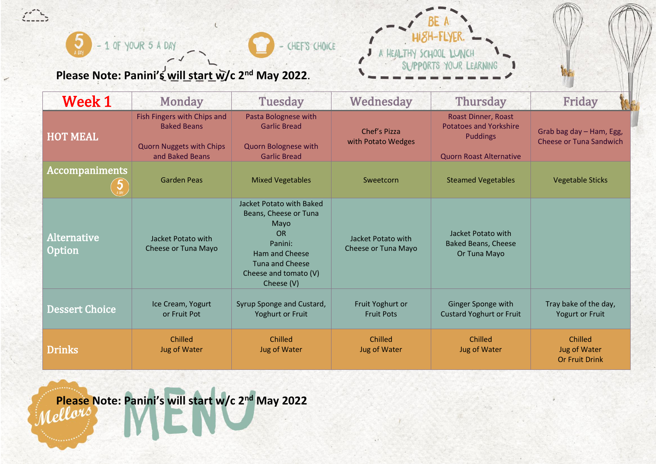

**Please Note: Panini's will start w/c 2nd May 2022**.

 $\overline{\mathcal{L}}$ 



| <b>Week 1</b>                | <b>Monday</b>                                                                                           | <b>Tuesday</b>                                                                                                                                                | Wednesday                                 | <b>Thursday</b>                                                                                           | Friday                                                     |
|------------------------------|---------------------------------------------------------------------------------------------------------|---------------------------------------------------------------------------------------------------------------------------------------------------------------|-------------------------------------------|-----------------------------------------------------------------------------------------------------------|------------------------------------------------------------|
| <b>HOT MEAL</b>              | Fish Fingers with Chips and<br><b>Baked Beans</b><br><b>Quorn Nuggets with Chips</b><br>and Baked Beans | Pasta Bolognese with<br><b>Garlic Bread</b><br>Quorn Bolognese with<br><b>Garlic Bread</b>                                                                    | Chef's Pizza<br>with Potato Wedges        | Roast Dinner, Roast<br><b>Potatoes and Yorkshire</b><br><b>Puddings</b><br><b>Quorn Roast Alternative</b> | Grab bag day - Ham, Egg,<br><b>Cheese or Tuna Sandwich</b> |
| <b>Accompaniments</b>        | <b>Garden Peas</b>                                                                                      | <b>Mixed Vegetables</b>                                                                                                                                       | Sweetcorn                                 | <b>Steamed Vegetables</b>                                                                                 | <b>Vegetable Sticks</b>                                    |
| <b>Alternative</b><br>Option | Jacket Potato with<br>Cheese or Tuna Mayo                                                               | Jacket Potato with Baked<br>Beans, Cheese or Tuna<br>Mayo<br><b>OR</b><br>Panini:<br>Ham and Cheese<br>Tuna and Cheese<br>Cheese and tomato (V)<br>Cheese (V) | Jacket Potato with<br>Cheese or Tuna Mayo | Jacket Potato with<br><b>Baked Beans, Cheese</b><br>Or Tuna Mayo                                          |                                                            |
| <b>Dessert Choice</b>        | Ice Cream, Yogurt<br>or Fruit Pot                                                                       | Syrup Sponge and Custard,<br>Yoghurt or Fruit                                                                                                                 | Fruit Yoghurt or<br><b>Fruit Pots</b>     | Ginger Sponge with<br><b>Custard Yoghurt or Fruit</b>                                                     | Tray bake of the day,<br>Yogurt or Fruit                   |
| <b>Drinks</b>                | Chilled<br><b>Jug of Water</b>                                                                          | Chilled<br>Jug of Water                                                                                                                                       | Chilled<br>Jug of Water                   | Chilled<br><b>Jug of Water</b>                                                                            | Chilled<br>Jug of Water<br><b>Or Fruit Drink</b>           |

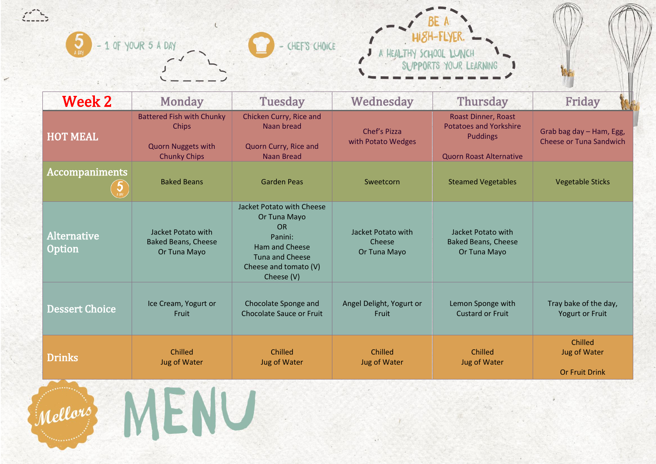



| <b>Week 2</b>                       | <b>Monday</b>                                                                                 | <b>Tuesday</b>                                                                                                                                       | Wednesday                                    | <b>Thursday</b>                                                                                           | Friday                                                     |
|-------------------------------------|-----------------------------------------------------------------------------------------------|------------------------------------------------------------------------------------------------------------------------------------------------------|----------------------------------------------|-----------------------------------------------------------------------------------------------------------|------------------------------------------------------------|
| <b>HOT MEAL</b>                     | <b>Battered Fish with Chunky</b><br>Chips<br><b>Quorn Nuggets with</b><br><b>Chunky Chips</b> | Chicken Curry, Rice and<br>Naan bread<br>Quorn Curry, Rice and<br><b>Naan Bread</b>                                                                  | Chef's Pizza<br>with Potato Wedges           | Roast Dinner, Roast<br><b>Potatoes and Yorkshire</b><br><b>Puddings</b><br><b>Quorn Roast Alternative</b> | Grab bag day - Ham, Egg,<br><b>Cheese or Tuna Sandwich</b> |
| <b>Accompaniments</b>               | <b>Baked Beans</b>                                                                            | <b>Garden Peas</b>                                                                                                                                   | Sweetcorn                                    | <b>Steamed Vegetables</b>                                                                                 | <b>Vegetable Sticks</b>                                    |
| <b>Alternative</b><br><b>Option</b> | Jacket Potato with<br><b>Baked Beans, Cheese</b><br>Or Tuna Mayo                              | Jacket Potato with Cheese<br>Or Tuna Mayo<br><b>OR</b><br>Panini:<br>Ham and Cheese<br><b>Tuna and Cheese</b><br>Cheese and tomato (V)<br>Cheese (V) | Jacket Potato with<br>Cheese<br>Or Tuna Mayo | Jacket Potato with<br><b>Baked Beans, Cheese</b><br>Or Tuna Mayo                                          |                                                            |
| <b>Dessert Choice</b>               | Ice Cream, Yogurt or<br>Fruit                                                                 | Chocolate Sponge and<br>Chocolate Sauce or Fruit                                                                                                     | Angel Delight, Yogurt or<br>Fruit            | Lemon Sponge with<br><b>Custard or Fruit</b>                                                              | Tray bake of the day,<br><b>Yogurt or Fruit</b>            |
| <b>Drinks</b>                       | Chilled<br><b>Jug of Water</b>                                                                | Chilled<br><b>Jug of Water</b>                                                                                                                       | Chilled<br><b>Jug of Water</b>               | Chilled<br><b>Jug of Water</b>                                                                            | Chilled<br><b>Jug of Water</b><br><b>Or Fruit Drink</b>    |